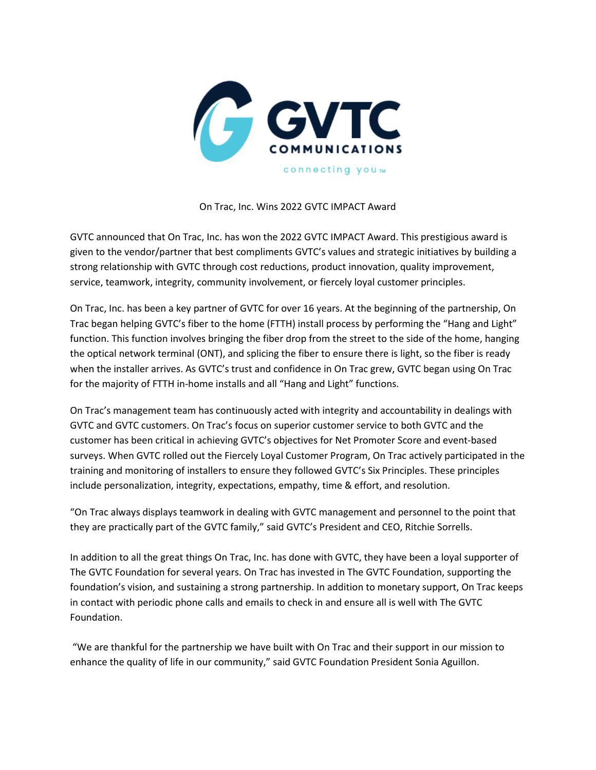

On Trac, Inc. Wins 2022 GVTC IMPACT Award

GVTC announced that On Trac, Inc. has won the 2022 GVTC IMPACT Award. This prestigious award is given to the vendor/partner that best compliments GVTC's values and strategic initiatives by building a strong relationship with GVTC through cost reductions, product innovation, quality improvement, service, teamwork, integrity, community involvement, or fiercely loyal customer principles.

On Trac, Inc. has been a key partner of GVTC for over 16 years. At the beginning of the partnership, On Trac began helping GVTC's fiber to the home (FTTH) install process by performing the "Hang and Light" function. This function involves bringing the fiber drop from the street to the side of the home, hanging the optical network terminal (ONT), and splicing the fiber to ensure there is light, so the fiber is ready when the installer arrives. As GVTC's trust and confidence in On Trac grew, GVTC began using On Trac for the majority of FTTH in-home installs and all "Hang and Light" functions.

On Trac's management team has continuously acted with integrity and accountability in dealings with GVTC and GVTC customers. On Trac's focus on superior customer service to both GVTC and the customer has been critical in achieving GVTC's objectives for Net Promoter Score and event-based surveys. When GVTC rolled out the Fiercely Loyal Customer Program, On Trac actively participated in the training and monitoring of installers to ensure they followed GVTC's Six Principles. These principles include personalization, integrity, expectations, empathy, time & effort, and resolution.

"On Trac always displays teamwork in dealing with GVTC management and personnel to the point that they are practically part of the GVTC family," said GVTC's President and CEO, Ritchie Sorrells.

In addition to all the great things On Trac, Inc. has done with GVTC, they have been a loyal supporter of The GVTC Foundation for several years. On Trac has invested in The GVTC Foundation, supporting the foundation's vision, and sustaining a strong partnership. In addition to monetary support, On Trac keeps in contact with periodic phone calls and emails to check in and ensure all is well with The GVTC Foundation.

"We are thankful for the partnership we have built with On Trac and their support in our mission to enhance the quality of life in our community," said GVTC Foundation President Sonia Aguillon.